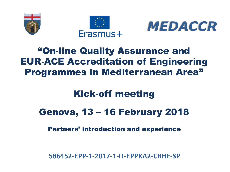





#### "On-line Quality Assurance and EUR-ACE Accreditation of Engineering Programmes in Mediterranean Area"

#### Kick-off meeting

#### Genova, 13 – 16 February 2018

Partners' introduction and experience

**586452-EPP-1-2017-1-IT-EPPKA2-CBHE-SP**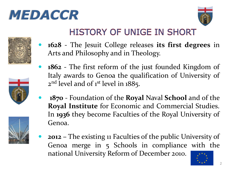## *MEDACCR*









Arts and Philosophy and in Theology.

**1628** - The Jesuit College releases **its first degrees** in

**HISTORY OF UNIGE IN SHORT** 

 **1870** - Foundation of the **Royal** Naval **School** and of the **Royal Institute** for Economic and Commercial Studies. In **1936** they become Faculties of the Royal University of Genoa.



 **2012 –** The existing 11 Faculties of the public University of Genoa merge in 5 Schools in compliance with the national University Reform of December 2010.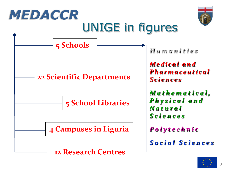

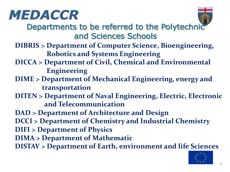



Departments to be referred to the Polytechnic and Sciences Schools

- **DIBRIS > Department of Computer Science, Bioengineering, Robotics and Systems Engineering**
- **DICCA > Department of Civil, Chemical and Environmental Engineering**
- **DIME > Department of Mechanical Engineering, energy and transportation**
- **DITEN > Department of Naval Engineering, Electric, Electronic and Telecommunication**
- **DAD > Department of Architecture and Design DCCI > Department of Chemistry and Industrial Chemistry DIFI > Department of Physics DIMA > Department of Mathematic DISTAV > Department of Earth, environment and life Sciences**

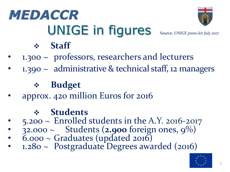# UNIGE in figures Source: *UNIGE press-kit July 2017 MEDACCR*



#### v **Staff**

- $1.300 \sim$  professors, researchers and lecturers
- $1.390 \sim$  administrative & technical staff, 12 managers

#### v **Budget**

• approx. 420 million Euros for 2016

#### v **Students**

- $5.200 \sim$  Enrolled students in the A.Y. 2016-2017
- 32.000 ~ Students (**2.900** foreign ones, 9%)
- $\tilde{6}$ .000 ~ Graduates (updated 2016)
- 1.280 ~ Postgraduate Degrees awarded (2016)

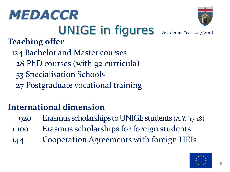## UNIGE in figures Academic Year 2017/2018 *MEDACCR*

#### **Teaching offer**

124 Bachelor and Master courses 28 PhD courses (with 92 curricula) 53 Specialisation Schools 27 Postgraduate vocational training

#### **International dimension**

920 Erasmus scholarships to UNIGE students (A.Y. '17-18) 1.100 Erasmus scholarships for foreign students 144 Cooperation Agreements with foreign HEIs

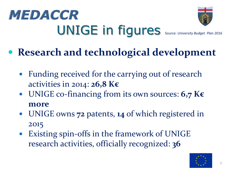# UNIGE in figures Source: *University Budget Plan 2016 MEDACCR*



### **Research and technological development**

- Funding received for the carrying out of research activities in 2014: **26,8 K€**
- UNIGE co-financing from its own sources: **6,7 K€ more**
- UNIGE owns **72** patents, **14** of which registered in 2015
- Existing spin-offs in the framework of UNIGE research activities, officially recognized: **36**

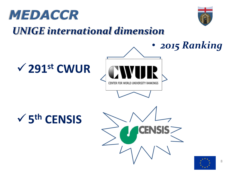



#### **UNIGE** international dimension

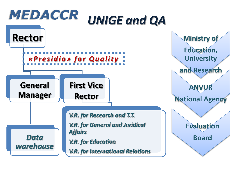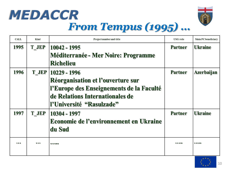# MEDACCR



#### From Tempus (1995) ...

| <b>CALL</b>   | Kind  | Project number and title                      | <b>USG</b> role | Main PC beneficiary |
|---------------|-------|-----------------------------------------------|-----------------|---------------------|
| 1995          | T JEP | 10042 - 1995                                  | <b>Partner</b>  | <b>Ukraine</b>      |
|               |       | <b>Méditerranée - Mer Noire: Programme</b>    |                 |                     |
|               |       | <b>Richelieu</b>                              |                 |                     |
| 1996          |       | T_JEP   10229 - 1996                          | <b>Partner</b>  | <b>Azerbaijan</b>   |
|               |       | Réorganisation et l'ouverture sur             |                 |                     |
|               |       | l'Europe des Enseignements de la Faculté      |                 |                     |
|               |       | de Relations Internationales de               |                 |                     |
|               |       | l'Université "Rasulzade"                      |                 |                     |
| 1997          | T JEP | 10304 - 1997                                  | <b>Partner</b>  | <b>Ukraine</b>      |
|               |       | <b>Economie de l'environnement en Ukraine</b> |                 |                     |
|               |       | du Sud                                        |                 |                     |
| <b>R.M.M.</b> | 666   |                                               |                 | 0.0.0.00            |
|               |       |                                               |                 |                     |

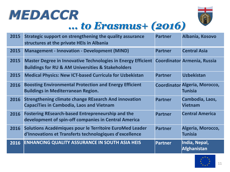



#### *… to Erasmus+ (2016)*

| 2015 | Strategic support on strengthening the quality assurance<br>structures at the private HEIs in Albania                                   | <b>Partner</b> | Albania, Kosovo                                        |
|------|-----------------------------------------------------------------------------------------------------------------------------------------|----------------|--------------------------------------------------------|
| 2015 | <b>Management - Innovation - Development (MIND)</b>                                                                                     | <b>Partner</b> | <b>Central Asia</b>                                    |
| 2015 | <b>Master Degree in Innovative Technologies in Energy Efficient</b><br><b>Buildings for RU &amp; AM Universities &amp; Stakeholders</b> |                | <b>Coordinator Armenia, Russia</b>                     |
| 2015 | <b>Medical Physics: New ICT-based Curricula for Uzbekistan</b>                                                                          | <b>Partner</b> | <b>Uzbekistan</b>                                      |
| 2016 | <b>Boosting Environmental Protection and Energy Efficient</b><br><b>Buildings in Mediterranean Region.</b>                              |                | <b>Coordinator Algeria, Morocco,</b><br><b>Tunisia</b> |
| 2016 | <b>Strengthening climate change REsearch And innovation</b><br><b>CapaciTies in Cambodia, Laos and Vietnam</b>                          | <b>Partner</b> | Cambodia, Laos,<br><b>Vietnam</b>                      |
| 2016 | <b>Fostering REsearch-based Entrepreneurship and the</b><br>development of spin-off companies in Central America                        | <b>Partner</b> | <b>Central America</b>                                 |
| 2016 | Solutions Académiques pour le Territoire EuroMed Leader<br>d'Innovations et Transferts technologiques d'excellence                      | <b>Partner</b> | Algeria, Morocco,<br><b>Tunisia</b>                    |
| 2016 | <b>ENHANCING QUALITY ASSURANCE IN SOUTH ASIA HEIS</b>                                                                                   | <b>Partner</b> | India, Nepal,<br>Afghanistan                           |